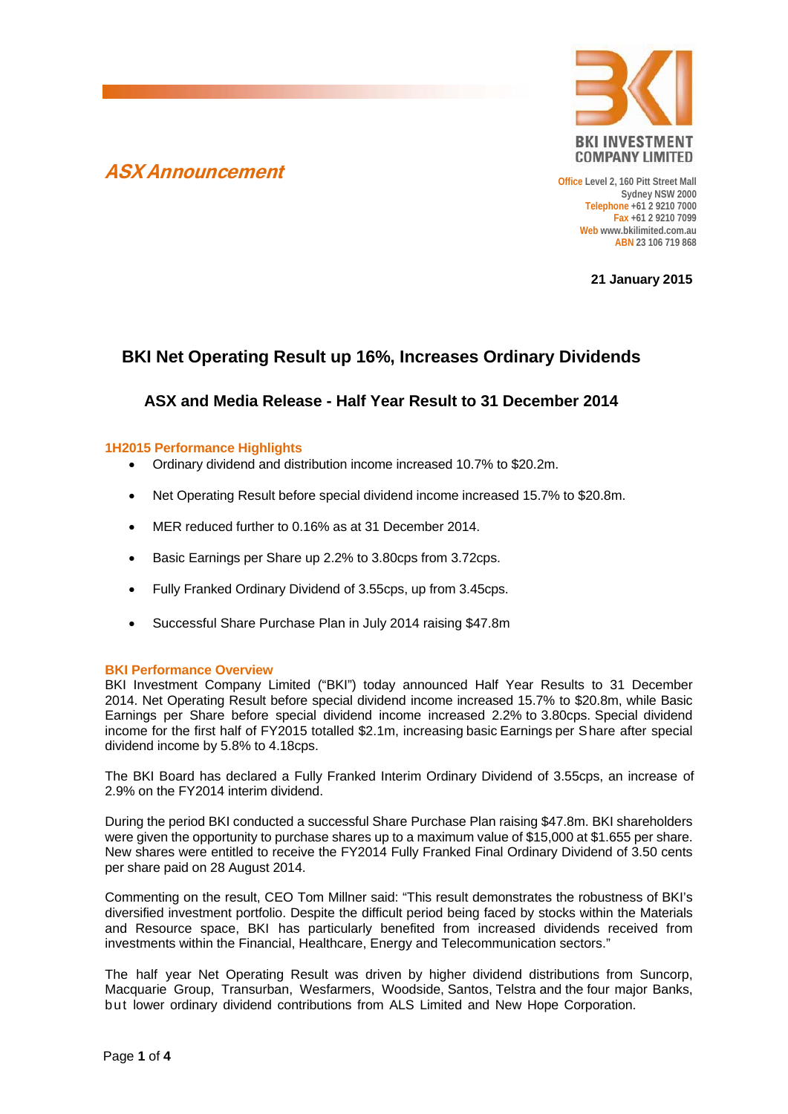



**Office Level 2, 160 Pitt Street Mall Sydney NSW 2000 Telephone +61 2 9210 7000 Fax +61 2 9210 7099 Web www.bkilimited.com.au ABN 23 106 719 868**

**21 January 2015**

# **BKI Net Operating Result up 16%, Increases Ordinary Dividends**

## **ASX and Media Release - Half Year Result to 31 December 2014**

#### **1H2015 Performance Highlights**

- Ordinary dividend and distribution income increased 10.7% to \$20.2m.
- Net Operating Result before special dividend income increased 15.7% to \$20.8m.
- MER reduced further to 0.16% as at 31 December 2014.
- Basic Earnings per Share up 2.2% to 3.80cps from 3.72cps.
- Fully Franked Ordinary Dividend of 3.55cps, up from 3.45cps.
- Successful Share Purchase Plan in July 2014 raising \$47.8m

## **BKI Performance Overview**

BKI Investment Company Limited ("BKI") today announced Half Year Results to 31 December 2014. Net Operating Result before special dividend income increased 15.7% to \$20.8m, while Basic Earnings per Share before special dividend income increased 2.2% to 3.80cps. Special dividend income for the first half of FY2015 totalled \$2.1m, increasing basic Earnings per Share after special dividend income by 5.8% to 4.18cps.

The BKI Board has declared a Fully Franked Interim Ordinary Dividend of 3.55cps, an increase of 2.9% on the FY2014 interim dividend.

During the period BKI conducted a successful Share Purchase Plan raising \$47.8m. BKI shareholders were given the opportunity to purchase shares up to a maximum value of \$15,000 at \$1.655 per share. New shares were entitled to receive the FY2014 Fully Franked Final Ordinary Dividend of 3.50 cents per share paid on 28 August 2014.

Commenting on the result, CEO Tom Millner said: "This result demonstrates the robustness of BKI's diversified investment portfolio. Despite the difficult period being faced by stocks within the Materials and Resource space, BKI has particularly benefited from increased dividends received from investments within the Financial, Healthcare, Energy and Telecommunication sectors."

The half year Net Operating Result was driven by higher dividend distributions from Suncorp, Macquarie Group, Transurban, Wesfarmers, Woodside, Santos, Telstra and the four major Banks, but lower ordinary dividend contributions from ALS Limited and New Hope Corporation.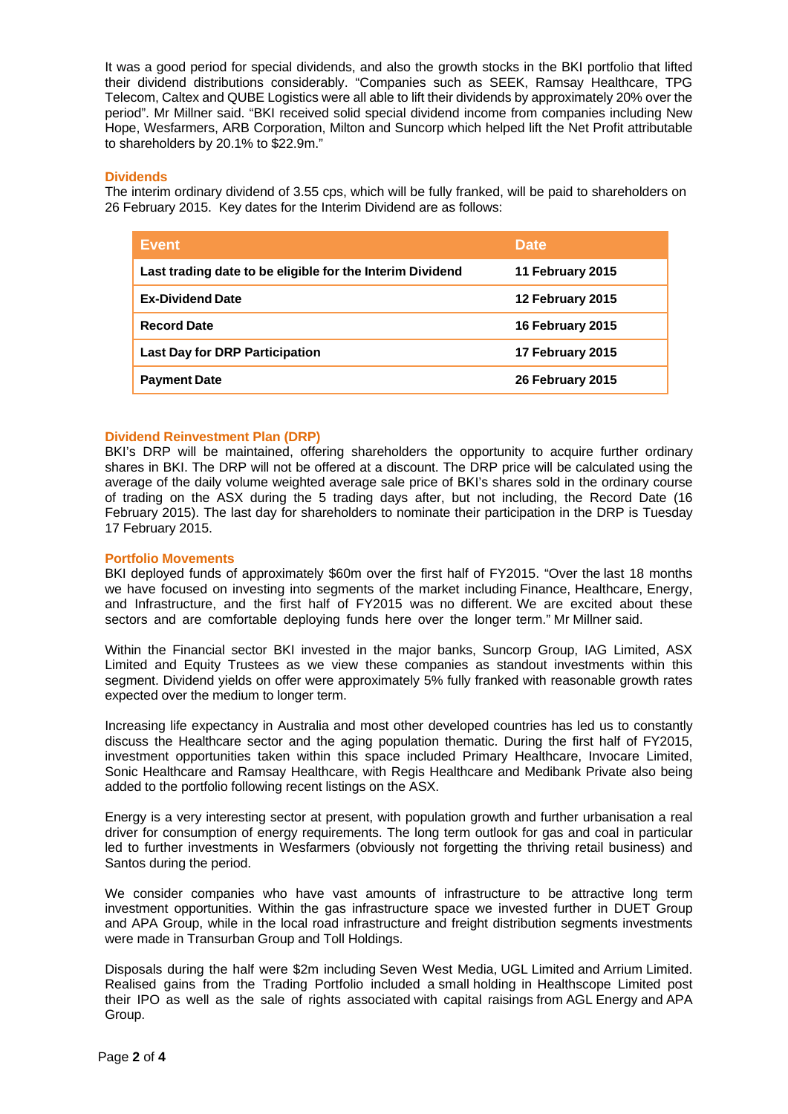It was a good period for special dividends, and also the growth stocks in the BKI portfolio that lifted their dividend distributions considerably. "Companies such as SEEK, Ramsay Healthcare, TPG Telecom, Caltex and QUBE Logistics were all able to lift their dividends by approximately 20% over the period". Mr Millner said. "BKI received solid special dividend income from companies including New Hope, Wesfarmers, ARB Corporation, Milton and Suncorp which helped lift the Net Profit attributable to shareholders by 20.1% to \$22.9m."

### **Dividends**

The interim ordinary dividend of 3.55 cps, which will be fully franked, will be paid to shareholders on 26 February 2015. Key dates for the Interim Dividend are as follows:

| <b>Event</b>                                              | <b>Date</b>      |
|-----------------------------------------------------------|------------------|
| Last trading date to be eligible for the Interim Dividend | 11 February 2015 |
| <b>Ex-Dividend Date</b>                                   | 12 February 2015 |
| <b>Record Date</b>                                        | 16 February 2015 |
| <b>Last Day for DRP Participation</b>                     | 17 February 2015 |
| <b>Payment Date</b>                                       | 26 February 2015 |

### **Dividend Reinvestment Plan (DRP)**

BKI's DRP will be maintained, offering shareholders the opportunity to acquire further ordinary shares in BKI. The DRP will not be offered at a discount. The DRP price will be calculated using the average of the daily volume weighted average sale price of BKI's shares sold in the ordinary course of trading on the ASX during the 5 trading days after, but not including, the Record Date (16 February 2015). The last day for shareholders to nominate their participation in the DRP is Tuesday 17 February 2015.

#### **Portfolio Movements**

BKI deployed funds of approximately \$60m over the first half of FY2015. "Over the last 18 months we have focused on investing into segments of the market including Finance, Healthcare, Energy, and Infrastructure, and the first half of FY2015 was no different. We are excited about these sectors and are comfortable deploying funds here over the longer term." Mr Millner said.

Within the Financial sector BKI invested in the major banks, Suncorp Group, IAG Limited, ASX Limited and Equity Trustees as we view these companies as standout investments within this segment. Dividend vields on offer were approximately 5% fully franked with reasonable growth rates expected over the medium to longer term.

Increasing life expectancy in Australia and most other developed countries has led us to constantly discuss the Healthcare sector and the aging population thematic. During the first half of FY2015, investment opportunities taken within this space included Primary Healthcare, Invocare Limited, Sonic Healthcare and Ramsay Healthcare, with Regis Healthcare and Medibank Private also being added to the portfolio following recent listings on the ASX.

Energy is a very interesting sector at present, with population growth and further urbanisation a real driver for consumption of energy requirements. The long term outlook for gas and coal in particular led to further investments in Wesfarmers (obviously not forgetting the thriving retail business) and Santos during the period.

We consider companies who have vast amounts of infrastructure to be attractive long term investment opportunities. Within the gas infrastructure space we invested further in DUET Group and APA Group, while in the local road infrastructure and freight distribution segments investments were made in Transurban Group and Toll Holdings.

Disposals during the half were \$2m including Seven West Media, UGL Limited and Arrium Limited. Realised gains from the Trading Portfolio included a small holding in Healthscope Limited post their IPO as well as the sale of rights associated with capital raisings from AGL Energy and APA Group.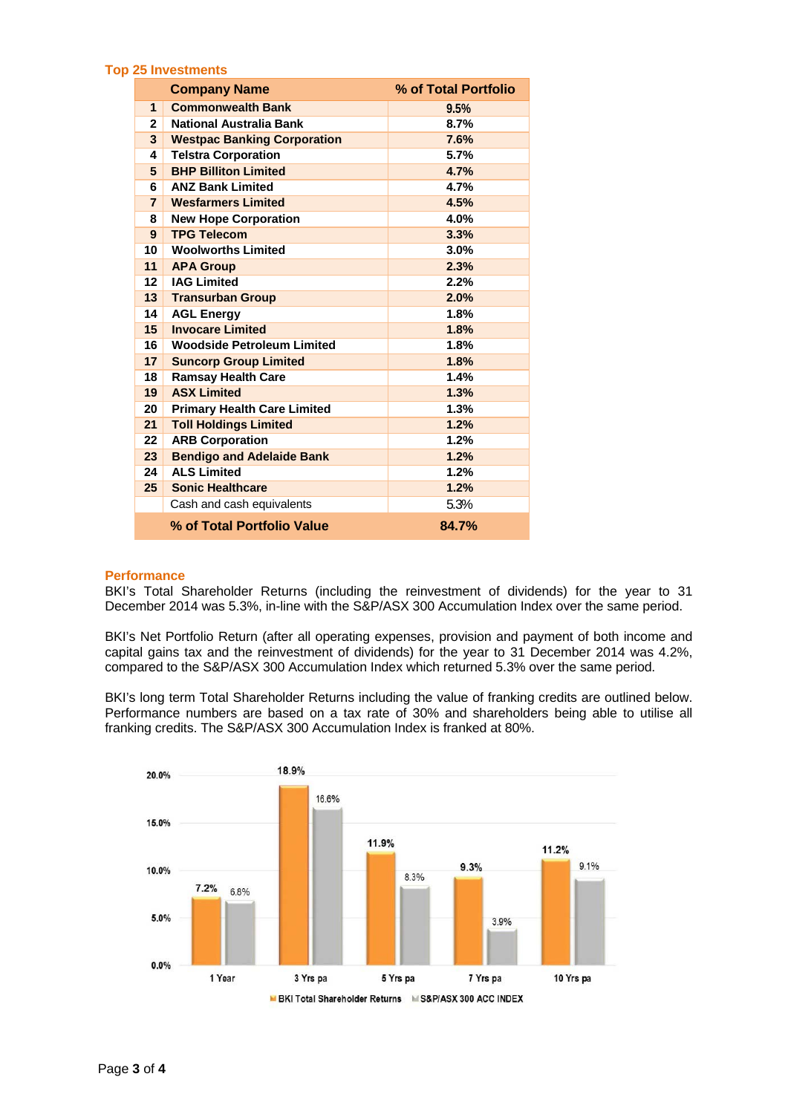#### **Top 25 Investments**

|                | <b>Company Name</b>                | % of Total Portfolio |
|----------------|------------------------------------|----------------------|
| $\mathbf{1}$   | <b>Commonwealth Bank</b>           | 9.5%                 |
| $\mathbf{2}$   | National Australia Bank            | 8.7%                 |
| 3              | <b>Westpac Banking Corporation</b> | 7.6%                 |
| 4              | <b>Telstra Corporation</b>         | 5.7%                 |
| 5              | <b>BHP Billiton Limited</b>        | 4.7%                 |
| 6              | <b>ANZ Bank Limited</b>            | 4.7%                 |
| $\overline{7}$ | <b>Wesfarmers Limited</b>          | 4.5%                 |
| 8              | <b>New Hope Corporation</b>        | 4.0%                 |
| 9              | <b>TPG Telecom</b>                 | 3.3%                 |
| 10             | <b>Woolworths Limited</b>          | 3.0%                 |
| 11             | <b>APA Group</b>                   | 2.3%                 |
| $12 \,$        | <b>IAG Limited</b>                 | 2.2%                 |
| 13             | <b>Transurban Group</b>            | 2.0%                 |
| 14             | <b>AGL Energy</b>                  | 1.8%                 |
| 15             | <b>Invocare Limited</b>            | 1.8%                 |
| 16             | <b>Woodside Petroleum Limited</b>  | 1.8%                 |
| 17             | <b>Suncorp Group Limited</b>       | 1.8%                 |
| 18             | <b>Ramsay Health Care</b>          | 1.4%                 |
| 19             | <b>ASX Limited</b>                 | 1.3%                 |
| 20             | <b>Primary Health Care Limited</b> | 1.3%                 |
| 21             | <b>Toll Holdings Limited</b>       | 1.2%                 |
| 22             | <b>ARB Corporation</b>             | 1.2%                 |
| 23             | <b>Bendigo and Adelaide Bank</b>   | 1.2%                 |
| 24             | <b>ALS Limited</b>                 | 1.2%                 |
| 25             | <b>Sonic Healthcare</b>            | 1.2%                 |
|                | Cash and cash equivalents          | 5.3%                 |
|                | % of Total Portfolio Value         | 84.7%                |

#### **Performance**

BKI's Total Shareholder Returns (including the reinvestment of dividends) for the year to 31 December 2014 was 5.3%, in-line with the S&P/ASX 300 Accumulation Index over the same period.

BKI's Net Portfolio Return (after all operating expenses, provision and payment of both income and capital gains tax and the reinvestment of dividends) for the year to 31 December 2014 was 4.2%, compared to the S&P/ASX 300 Accumulation Index which returned 5.3% over the same period.

BKI's long term Total Shareholder Returns including the value of franking credits are outlined below. Performance numbers are based on a tax rate of 30% and shareholders being able to utilise all franking credits. The S&P/ASX 300 Accumulation Index is franked at 80%.